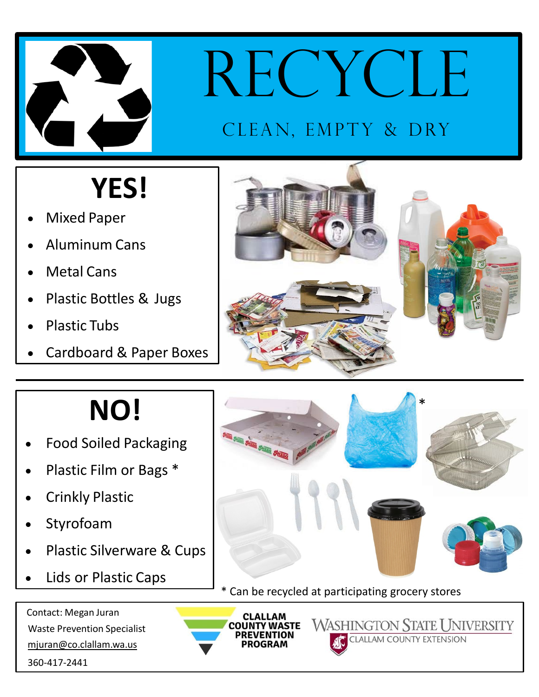

# RECYCLE

#### CLEAN, EMPTY & DRY

## **YES!**

- Mixed Paper
- Aluminum Cans
- **Metal Cans**
- Plastic Bottles & Jugs
- Plastic Tubs
- Cardboard & Paper Boxes



### **NO!**

- Food Soiled Packaging
- Plastic Film or Bags \*
- Crinkly Plastic
- **Styrofoam**
- Plastic Silverware & Cups
- Lids or Plastic Caps

 Contact: Megan Juran Waste Prevention Specialist mjuran@co.clallam.wa.us 360-417-2441





**WASHINGTON STATE UNIVERSITY CLALLAM COUNTY EXTENSION**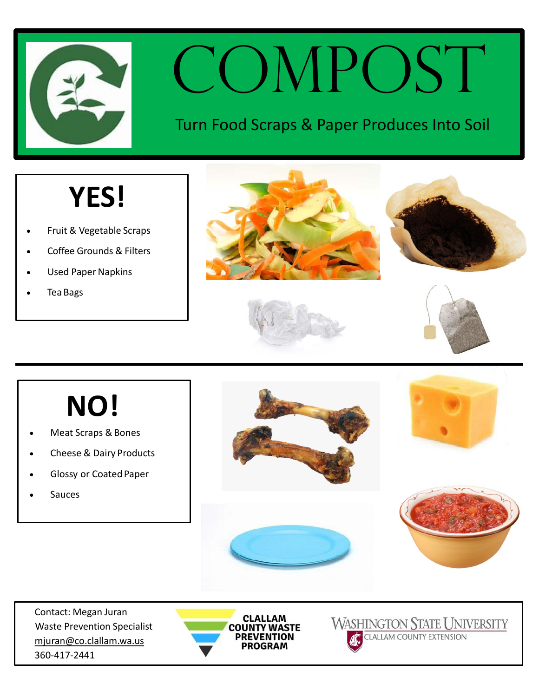

## COMPOST

#### Turn Food Scraps & Paper Produces Into Soil

#### **YES!**

- Fruit & Vegetable Scraps
- Coffee Grounds & Filters
- Used Paper Napkins
- Tea Bags







## **NO!**

- Meat Scraps & Bones
- Cheese & Dairy Products
- Glossy or Coated Paper
- **Sauces**



 Contact: Megan Juran Waste Prevention Specialist mjuran@co.clallam.wa.us 360-417-2441



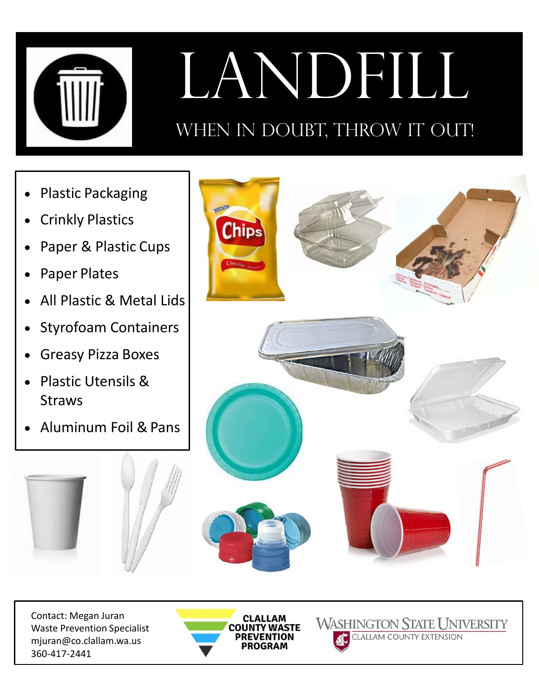

# LANDFILL

#### WHEN IN DOUBT, THROW IT OUT!

- Plastic Packaging
- **Crinkly Plastics**
- Paper & Plastic Cups
- Paper Plates
- All Plastic & Metal Lids
- Styrofoam Containers
- Greasy Pizza Boxes
- Plastic Utensils & Straws
- Aluminum Foil & Pans



**WASHINGTON STATE UNIVERSITY** 

**CLALLAM COUNTY EXTENSION** 

 Contact: Megan Juran Waste Prevention Specialist mjuran@co.clallam.wa.us 360-417-2441